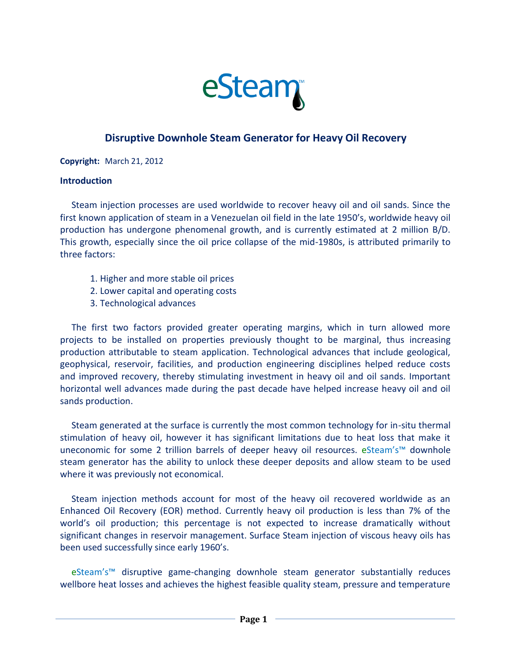

## **Disruptive Downhole Steam Generator for Heavy Oil Recovery**

**Copyright:** March 21, 2012

## **Introduction**

 Steam injection processes are used worldwide to recover heavy oil and oil sands. Since the first known application of steam in a Venezuelan oil field in the late 1950's, worldwide heavy oil production has undergone phenomenal growth, and is currently estimated at 2 million B/D. This growth, especially since the oil price collapse of the mid-1980s, is attributed primarily to three factors:

- 1. Higher and more stable oil prices
- 2. Lower capital and operating costs
- 3. Technological advances

 The first two factors provided greater operating margins, which in turn allowed more projects to be installed on properties previously thought to be marginal, thus increasing production attributable to steam application. Technological advances that include geological, geophysical, reservoir, facilities, and production engineering disciplines helped reduce costs and improved recovery, thereby stimulating investment in heavy oil and oil sands. Important horizontal well advances made during the past decade have helped increase heavy oil and oil sands production.

 Steam generated at the surface is currently the most common technology for in-situ thermal stimulation of heavy oil, however it has significant limitations due to heat loss that make it uneconomic for some 2 trillion barrels of deeper heavy oil resources. eSteam's<sup>™</sup> downhole steam generator has the ability to unlock these deeper deposits and allow steam to be used where it was previously not economical.

 Steam injection methods account for most of the heavy oil recovered worldwide as an Enhanced Oil Recovery (EOR) method. Currently heavy oil production is less than 7% of the world's oil production; this percentage is not expected to increase dramatically without significant changes in reservoir management. Surface Steam injection of viscous heavy oils has been used successfully since early 1960's.

 eSteam's™ disruptive game-changing downhole steam generator substantially reduces wellbore heat losses and achieves the highest feasible quality steam, pressure and temperature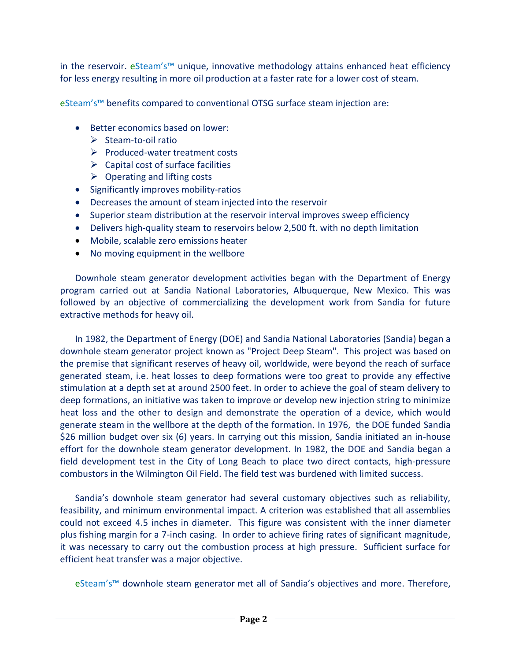in the reservoir. eSteam's™ unique, innovative methodology attains enhanced heat efficiency for less energy resulting in more oil production at a faster rate for a lower cost of steam.

eSteam's™ benefits compared to conventional OTSG surface steam injection are:

- Better economics based on lower:
	- ➢ Steam-to-oil ratio
	- ➢ Produced-water treatment costs
	- $\triangleright$  Capital cost of surface facilities
	- $\triangleright$  Operating and lifting costs
- Significantly improves mobility-ratios
- Decreases the amount of steam injected into the reservoir
- Superior steam distribution at the reservoir interval improves sweep efficiency
- Delivers high-quality steam to reservoirs below 2,500 ft. with no depth limitation
- Mobile, scalable zero emissions heater
- No moving equipment in the wellbore

Downhole steam generator development activities began with the Department of Energy program carried out at Sandia National Laboratories, Albuquerque, New Mexico. This was followed by an objective of commercializing the development work from Sandia for future extractive methods for heavy oil.

In 1982, the Department of Energy (DOE) and Sandia National Laboratories (Sandia) began a downhole steam generator project known as "Project Deep Steam". This project was based on the premise that significant reserves of heavy oil, worldwide, were beyond the reach of surface generated steam, i.e. heat losses to deep formations were too great to provide any effective stimulation at a depth set at around 2500 feet. In order to achieve the goal of steam delivery to deep formations, an initiative was taken to improve or develop new injection string to minimize heat loss and the other to design and demonstrate the operation of a device, which would generate steam in the wellbore at the depth of the formation. In 1976, the DOE funded Sandia \$26 million budget over six (6) years. In carrying out this mission, Sandia initiated an in-house effort for the downhole steam generator development. In 1982, the DOE and Sandia began a field development test in the City of Long Beach to place two direct contacts, high-pressure combustors in the Wilmington Oil Field. The field test was burdened with limited success.

Sandia's downhole steam generator had several customary objectives such as reliability, feasibility, and minimum environmental impact. A criterion was established that all assemblies could not exceed 4.5 inches in diameter. This figure was consistent with the inner diameter plus fishing margin for a 7-inch casing. In order to achieve firing rates of significant magnitude, it was necessary to carry out the combustion process at high pressure. Sufficient surface for efficient heat transfer was a major objective.

eSteam's™ downhole steam generator met all of Sandia's objectives and more. Therefore,